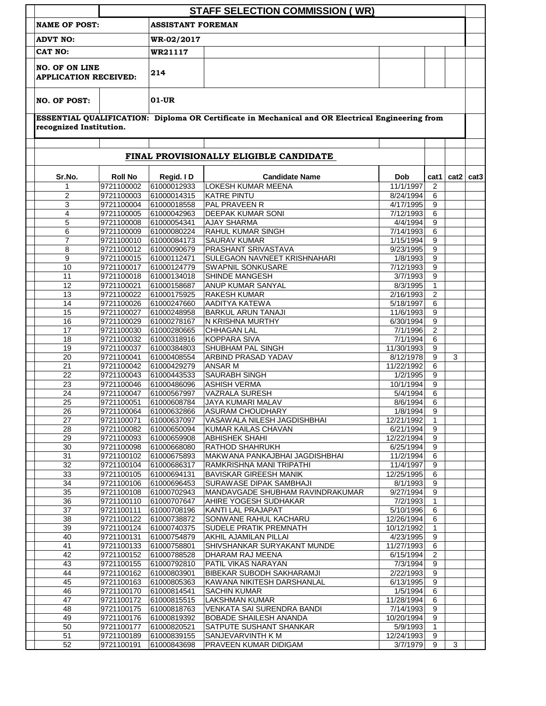|                                                                                                                             | <b>STAFF SELECTION COMMISSION (WR)</b> |                            |                                                     |                        |                   |                    |  |  |  |  |  |  |
|-----------------------------------------------------------------------------------------------------------------------------|----------------------------------------|----------------------------|-----------------------------------------------------|------------------------|-------------------|--------------------|--|--|--|--|--|--|
| <b>NAME OF POST:</b><br><b>ASSISTANT FOREMAN</b>                                                                            |                                        |                            |                                                     |                        |                   |                    |  |  |  |  |  |  |
| <b>ADVT NO:</b><br>CAT NO:<br><b>NO. OF ON LINE</b><br><b>APPLICATION RECEIVED:</b>                                         |                                        | WR-02/2017                 |                                                     |                        |                   |                    |  |  |  |  |  |  |
|                                                                                                                             |                                        | WR21117                    |                                                     |                        |                   |                    |  |  |  |  |  |  |
|                                                                                                                             |                                        | 214                        |                                                     |                        |                   |                    |  |  |  |  |  |  |
| <b>NO. OF POST:</b>                                                                                                         |                                        | $01-UR$                    |                                                     |                        |                   |                    |  |  |  |  |  |  |
| ESSENTIAL QUALIFICATION: Diploma OR Certificate in Mechanical and OR Electrical Engineering from<br>recognized Institution. |                                        |                            |                                                     |                        |                   |                    |  |  |  |  |  |  |
| FINAL PROVISIONALLY ELIGIBLE CANDIDATE                                                                                      |                                        |                            |                                                     |                        |                   |                    |  |  |  |  |  |  |
| Sr.No.                                                                                                                      | <b>Roll No</b>                         | Regid. ID                  | <b>Candidate Name</b>                               | <b>Dob</b>             |                   | cat1   cat2   cat3 |  |  |  |  |  |  |
| 1                                                                                                                           | 9721100002                             | 61000012933                | LOKESH KUMAR MEENA                                  | 11/1/1997              | 2                 |                    |  |  |  |  |  |  |
| $\overline{c}$                                                                                                              | 9721100003                             | 61000014315                | <b>KATRE PINTU</b>                                  | 8/24/1994              | 6                 |                    |  |  |  |  |  |  |
| 3                                                                                                                           | 9721100004                             | 61000018558                | PAL PRAVEEN R                                       | 4/17/1995              | 9                 |                    |  |  |  |  |  |  |
| 4                                                                                                                           | 9721100005                             | 61000042963                | <b>DEEPAK KUMAR SONI</b>                            | 7/12/1993              | 6                 |                    |  |  |  |  |  |  |
| 5<br>6                                                                                                                      | 9721100008<br>9721100009               | 61000054341<br>61000080224 | <b>AJAY SHARMA</b><br>RAHUL KUMAR SINGH             | 4/4/1994<br>7/14/1993  | 9<br>6            |                    |  |  |  |  |  |  |
| 7                                                                                                                           | 9721100010                             | 61000084173                | <b>SAURAV KUMAR</b>                                 | 1/15/1994              | 9                 |                    |  |  |  |  |  |  |
| 8                                                                                                                           | 9721100012                             | 61000090679                | PRASHANT SRIVASTAVA                                 | 9/23/1995              | 9                 |                    |  |  |  |  |  |  |
| 9                                                                                                                           | 9721100015                             | 61000112471                | <b>SULEGAON NAVNEET KRISHNAHARI</b>                 | 1/8/1993               | 9                 |                    |  |  |  |  |  |  |
| 10                                                                                                                          | 9721100017                             | 61000124779                | <b>SWAPNIL SONKUSARE</b>                            | 7/12/1993              | 9                 |                    |  |  |  |  |  |  |
| 11                                                                                                                          | 9721100018                             | 61000134018                | SHINDE MANGESH                                      | 3/7/1993               | 9                 |                    |  |  |  |  |  |  |
| 12                                                                                                                          | 9721100021                             | 61000158687                | ANUP KUMAR SANYAL                                   | 8/3/1995               | 1                 |                    |  |  |  |  |  |  |
| 13                                                                                                                          | 9721100022                             | 61000175925                | <b>RAKESH KUMAR</b>                                 | 2/16/1993              | 2                 |                    |  |  |  |  |  |  |
| 14                                                                                                                          | 9721100026                             | 61000247660                | <b>AADITYA KATEWA</b>                               | 5/18/1997              | 6                 |                    |  |  |  |  |  |  |
| 15                                                                                                                          | 9721100027                             | 61000248958                | <b>BARKUL ARUN TANAJI</b>                           | 11/6/1993              | 9                 |                    |  |  |  |  |  |  |
| 16<br>17                                                                                                                    | 9721100029<br>9721100030               | 61000278167<br>61000280665 | N KRISHNA MURTHY<br>CHHAGAN LAL                     | 6/30/1994<br>7/1/1996  | 9<br>2            |                    |  |  |  |  |  |  |
| 18                                                                                                                          | 9721100032                             | 61000318916                | <b>KOPPARA SIVA</b>                                 | 7/1/1994               | 6                 |                    |  |  |  |  |  |  |
| 19                                                                                                                          | 9721100037                             | 61000384803                | SHUBHAM PAL SINGH                                   | 11/30/1993             | 9                 |                    |  |  |  |  |  |  |
| 20                                                                                                                          | 9721100041                             | 61000408554                | ARBIND PRASAD YADAV                                 | 8/12/1978              | 9                 | 3                  |  |  |  |  |  |  |
| 21                                                                                                                          | 9721100042                             | 61000429279                | <b>ANSAR M</b>                                      | 11/22/1992             | 6                 |                    |  |  |  |  |  |  |
| 22                                                                                                                          | 9721100043                             | 61000443533                | <b>SAURABH SINGH</b>                                | 1/2/1995               | 9                 |                    |  |  |  |  |  |  |
| 23                                                                                                                          | 9721100046                             | 61000486096                | <b>ASHISH VERMA</b>                                 | 10/1/1994              | 9                 |                    |  |  |  |  |  |  |
| 24                                                                                                                          | 9721100047                             | 61000567997                | <b>VAZRALA SURESH</b>                               | 5/4/1994               | 6                 |                    |  |  |  |  |  |  |
| 25                                                                                                                          | 9721100051                             | 61000608784                | <b>JAYA KUMARI MALAV</b>                            | 8/6/1994               | 6                 |                    |  |  |  |  |  |  |
| 26<br>27                                                                                                                    | 9721100064<br>9721100071               | 61000632866<br>61000637097 | ASURAM CHOUDHARY<br>VASAWALA NILESH JAGDISHBHAI     | 1/8/1994<br>12/21/1992 | 9<br>1            |                    |  |  |  |  |  |  |
| 28                                                                                                                          | 9721100082                             | 61000650094                | KUMAR KAILAS CHAVAN                                 | 6/21/1994              | 9                 |                    |  |  |  |  |  |  |
| 29                                                                                                                          | 9721100093                             | 61000659908                | <b>ABHISHEK SHAHI</b>                               | 12/22/1994             | 9                 |                    |  |  |  |  |  |  |
| 30                                                                                                                          | 9721100098                             | 61000668080                | RATHOD SHAHRUKH                                     | 6/25/1994              | 9                 |                    |  |  |  |  |  |  |
| 31                                                                                                                          | 9721100102                             | 61000675893                | MAKWANA PANKAJBHAI JAGDISHBHAI                      | 11/2/1994              | 6                 |                    |  |  |  |  |  |  |
| $\overline{32}$                                                                                                             | 9721100104                             | 61000686317                | RAMKRISHNA MANI TRIPATHI                            | 11/4/1997              | 9                 |                    |  |  |  |  |  |  |
| 33                                                                                                                          | 9721100105                             | 61000694131                | <b>BAVISKAR GIREESH MANIK</b>                       | 12/25/1995             | 6                 |                    |  |  |  |  |  |  |
| 34                                                                                                                          | 9721100106                             | 61000696453                | <b>SURAWASE DIPAK SAMBHAJI</b>                      | 8/1/1993               | 9                 |                    |  |  |  |  |  |  |
| 35                                                                                                                          | 9721100108                             | 61000702943                | MANDAVGADE SHUBHAM RAVINDRAKUMAR                    | 9/27/1994              | 9                 |                    |  |  |  |  |  |  |
| 36<br>37                                                                                                                    | 9721100110<br>9721100111               | 61000707647<br>61000708196 | AHIRE YOGESH SUDHAKAR<br>KANTI LAL PRAJAPAT         | 7/2/1993<br>5/10/1996  | $\mathbf{1}$<br>6 |                    |  |  |  |  |  |  |
| 38                                                                                                                          | 9721100122                             | 61000738872                | SONWANE RAHUL KACHARU                               | 12/26/1994             | 6                 |                    |  |  |  |  |  |  |
| 39                                                                                                                          | 9721100124                             | 61000740375                | SUDELE PRATIK PREMNATH                              | 10/12/1992             | $\mathbf{1}$      |                    |  |  |  |  |  |  |
| 40                                                                                                                          | 9721100131                             | 61000754879                | AKHIL AJAMILAN PILLAI                               | 4/23/1995              | 9                 |                    |  |  |  |  |  |  |
| 41                                                                                                                          | 9721100133                             | 61000758801                | SHIVSHANKAR SURYAKANT MUNDE                         | 11/27/1993             | 6                 |                    |  |  |  |  |  |  |
| 42                                                                                                                          | 9721100152                             | 61000788528                | DHARAM RAJ MEENA                                    | 6/15/1994              | $\overline{2}$    |                    |  |  |  |  |  |  |
| 43                                                                                                                          | 9721100155                             | 61000792810                | PATIL VIKAS NARAYAN                                 | 7/3/1994               | 9                 |                    |  |  |  |  |  |  |
| 44                                                                                                                          | 9721100162                             | 61000803901                | BIBEKAR SUBODH SAKHARAMJI                           | 2/22/1993              | 9                 |                    |  |  |  |  |  |  |
| 45                                                                                                                          | 9721100163                             | 61000805363                | KAWANA NIKITESH DARSHANLAL                          | 6/13/1995              | 9                 |                    |  |  |  |  |  |  |
| 46<br>47                                                                                                                    | 9721100170                             | 61000814541                | <b>SACHIN KUMAR</b>                                 | 1/5/1994<br>11/28/1994 | 6                 |                    |  |  |  |  |  |  |
| 48                                                                                                                          | 9721100172<br>9721100175               | 61000815515<br>61000818763 | <b>LAKSHMAN KUMAR</b><br>VENKATA SAI SURENDRA BANDI | 7/14/1993              | 6<br>9            |                    |  |  |  |  |  |  |
| 49                                                                                                                          | 9721100176                             | 61000819392                | <b>BOBADE SHAILESH ANANDA</b>                       | 10/20/1994             | 9                 |                    |  |  |  |  |  |  |
| 50                                                                                                                          | 9721100177                             | 61000820521                | SATPUTE SUSHANT SHANKAR                             | 5/9/1993               | 1                 |                    |  |  |  |  |  |  |
| 51                                                                                                                          | 9721100189                             | 61000839155                | SANJEVARVINTH K M                                   | 12/24/1993             | 9                 |                    |  |  |  |  |  |  |
|                                                                                                                             |                                        |                            |                                                     |                        |                   |                    |  |  |  |  |  |  |